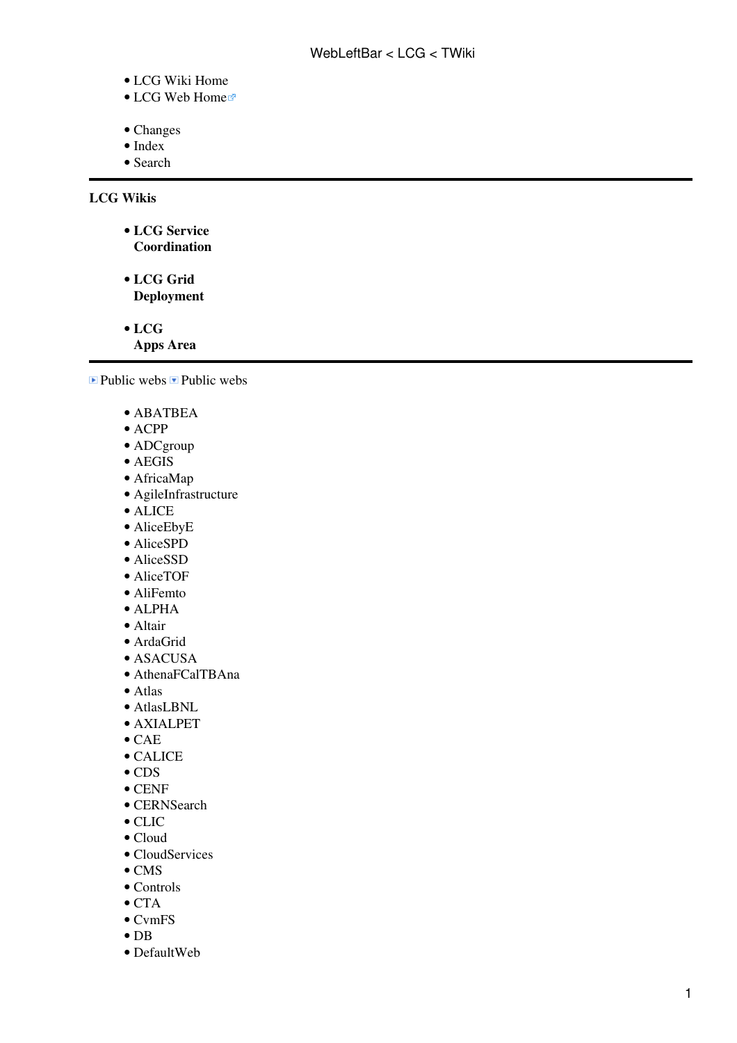- [LCG Wiki Home](https://twiki.cern.ch/twiki/bin/view/LCG/WebHome)
- [LCG Web Home](http://cern.ch/lcg)
- [Changes](https://twiki.cern.ch/twiki/bin/view/LCG/WebChanges)
- [Index](https://twiki.cern.ch/twiki/bin/view/LCG/WebIndex)
- [Search](https://twiki.cern.ch/twiki/bin/view/LCG/WebSearch)

**LCG Wikis**

**[LCG Service](https://twiki.cern.ch/twiki/bin/view/LCG/LCGServiceChallenges)** • **[Coordination](https://twiki.cern.ch/twiki/bin/view/LCG/LCGServiceChallenges)**

**[LCG Grid](https://twiki.cern.ch/twiki/bin/view/LCG/LCGGridDeployment)** • **[Deployment](https://twiki.cern.ch/twiki/bin/view/LCG/LCGGridDeployment)**

**[LCG](https://twiki.cern.ch/twiki/bin/view/LCG/LCGAASoftware)** •

**[Apps Area](https://twiki.cern.ch/twiki/bin/view/LCG/LCGAASoftware)**

 $\blacksquare$  Public webs  $\blacksquare$  Public webs

- [ABATBEA](https://twiki.cern.ch/twiki/bin/view/ABATBEA/WebHome)
- [ACPP](https://twiki.cern.ch/twiki/bin/view/ACPP/WebHome)
- [ADCgroup](https://twiki.cern.ch/twiki/bin/view/ADCgroup/WebHome)
- [AEGIS](https://twiki.cern.ch/twiki/bin/view/AEGIS/WebHome)
- [AfricaMap](https://twiki.cern.ch/twiki/bin/view/AfricaMap/WebHome)
- [AgileInfrastructure](https://twiki.cern.ch/twiki/bin/view/AgileInfrastructure/WebHome)
- [ALICE](https://twiki.cern.ch/twiki/bin/view/ALICE/WebHome)
- [AliceEbyE](https://twiki.cern.ch/twiki/bin/edit/AliceEbyE/WebHome?topicparent=LCG.WebLeftBar;nowysiwyg=1)
- [AliceSPD](https://twiki.cern.ch/twiki/bin/view/AliceSPD/WebHome)
- [AliceSSD](https://twiki.cern.ch/twiki/bin/view/AliceSSD/WebHome)
- [AliceTOF](https://twiki.cern.ch/twiki/bin/view/AliceTOF/WebHome)
- [AliFemto](https://twiki.cern.ch/twiki/bin/view/AliFemto/WebHome)
- [ALPHA](https://twiki.cern.ch/twiki/bin/view/ALPHA/WebHome)
- [Altair](https://twiki.cern.ch/twiki/bin/view/Altair/WebHome)
- [ArdaGrid](https://twiki.cern.ch/twiki/bin/view/ArdaGrid/WebHome)
- [ASACUSA](https://twiki.cern.ch/twiki/bin/view/ASACUSA/WebHome)
- [AthenaFCalTBAna](https://twiki.cern.ch/twiki/bin/view/AthenaFCalTBAna/WebHome)
- [Atlas](https://twiki.cern.ch/twiki/bin/view/Atlas/WebHome)
- [AtlasLBNL](https://twiki.cern.ch/twiki/bin/view/AtlasLBNL/WebHome)
- [AXIALPET](https://twiki.cern.ch/twiki/bin/view/AXIALPET/WebHome)
- [CAE](https://twiki.cern.ch/twiki/bin/view/CAE/WebHome)
- [CALICE](https://twiki.cern.ch/twiki/bin/view/CALICE/WebHome)
- [CDS](https://twiki.cern.ch/twiki/bin/view/CDS/WebHome)
- [CENF](https://twiki.cern.ch/twiki/bin/view/CENF/WebHome)
- [CERNSearch](https://twiki.cern.ch/twiki/bin/view/CERNSearch/WebHome)
- [CLIC](https://twiki.cern.ch/twiki/bin/view/CLIC/WebHome)
- [Cloud](https://twiki.cern.ch/twiki/bin/view/Cloud/WebHome)
- [CloudServices](https://twiki.cern.ch/twiki/bin/view/CloudServices/WebHome)
- [CMS](https://twiki.cern.ch/twiki/bin/view/CMS/WebHome)
- [Controls](https://twiki.cern.ch/twiki/bin/view/Controls/WebHome)
- [CTA](https://twiki.cern.ch/twiki/bin/view/CTA/WebHome)
- [CvmFS](https://twiki.cern.ch/twiki/bin/view/CvmFS/WebHome)
- [DB](https://twiki.cern.ch/twiki/bin/view/DB/WebHome)
- [DefaultWeb](https://twiki.cern.ch/twiki/bin/view/DefaultWeb/WebHome)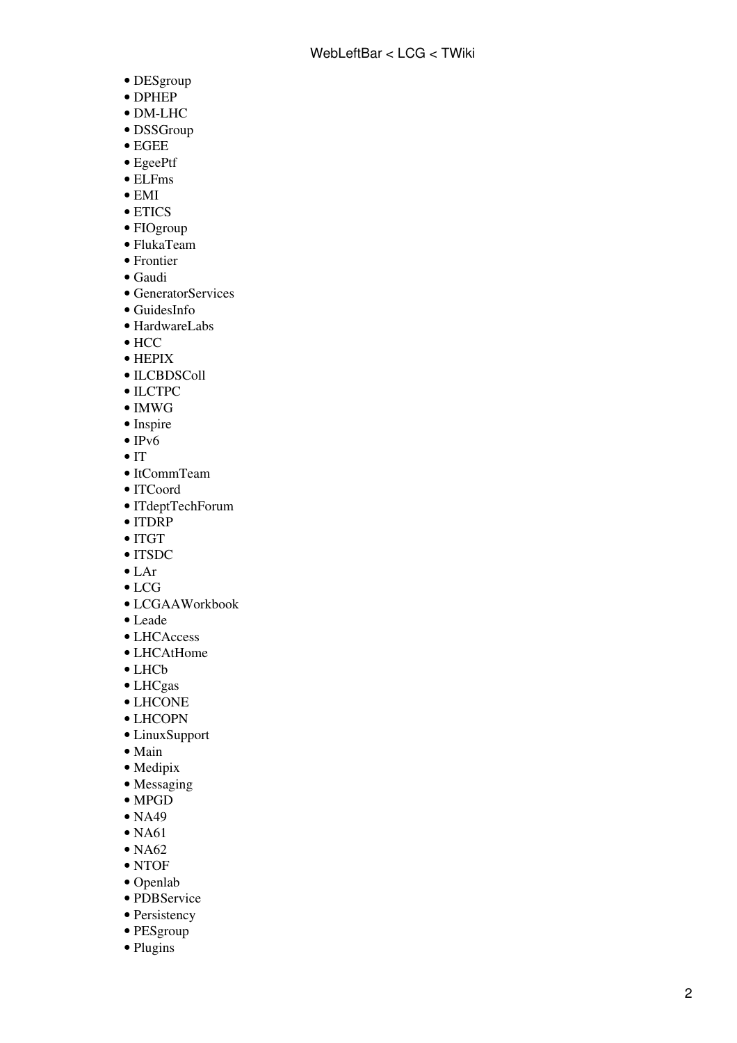- [DESgroup](https://twiki.cern.ch/twiki/bin/view/DESgroup/WebHome)
- [DPHEP](https://twiki.cern.ch/twiki/bin/view/DPHEP/WebHome)
- [DM-LHC](https://twiki.cern.ch/twiki/bin/view/DMLHC/WebHome)
- [DSSGroup](https://twiki.cern.ch/twiki/bin/view/DSSGroup/WebHome)
- [EGEE](https://twiki.cern.ch/twiki/bin/view/EGEE/WebHome)
- [EgeePtf](https://twiki.cern.ch/twiki/bin/view/EgeePtf/WebHome)
- [ELFms](https://twiki.cern.ch/twiki/bin/view/ELFms/WebHome)
- [EMI](https://twiki.cern.ch/twiki/bin/view/EMI/WebHome)
- [ETICS](https://twiki.cern.ch/twiki/bin/view/ETICS/WebHome)
- [FIOgroup](https://twiki.cern.ch/twiki/bin/view/FIOgroup/WebHome)
- [FlukaTeam](https://twiki.cern.ch/twiki/bin/view/FlukaTeam/WebHome)
- [Frontier](https://twiki.cern.ch/twiki/bin/view/Frontier/WebHome)
- [Gaudi](https://twiki.cern.ch/twiki/bin/view/Gaudi/WebHome)
- [GeneratorServices](https://twiki.cern.ch/twiki/bin/view/GeneratorServices/WebHome)
- [GuidesInfo](https://twiki.cern.ch/twiki/bin/view/GuidesInfo/WebHome)
- [HardwareLabs](https://twiki.cern.ch/twiki/bin/view/HardwareLabs/WebHome)
- [HCC](https://twiki.cern.ch/twiki/bin/view/HCC/WebHome)
- [HEPIX](https://twiki.cern.ch/twiki/bin/view/HEPIX/WebHome)
- [ILCBDSColl](https://twiki.cern.ch/twiki/bin/view/ILCBDSColl/WebHome)
- [ILCTPC](https://twiki.cern.ch/twiki/bin/view/ILCTPC/WebHome)
- [IMWG](https://twiki.cern.ch/twiki/bin/view/IMWG/WebHome)
- [Inspire](https://twiki.cern.ch/twiki/bin/view/Inspire/WebHome)
- $\bullet$  [IPv6](https://twiki.cern.ch/twiki/bin/view/IPv6/WebHome)
- [IT](https://twiki.cern.ch/twiki/bin/view/IT/WebHome)
- [ItCommTeam](https://twiki.cern.ch/twiki/bin/view/ItCommTeam/WebHome)
- [ITCoord](https://twiki.cern.ch/twiki/bin/view/ITCoord/WebHome)
- [ITdeptTechForum](https://twiki.cern.ch/twiki/bin/view/ITdeptTechForum/WebHome)
- [ITDRP](https://twiki.cern.ch/twiki/bin/view/ITDRP/WebHome)
- [ITGT](https://twiki.cern.ch/twiki/bin/view/ITGT/WebHome)
- [ITSDC](https://twiki.cern.ch/twiki/bin/view/ITSDC/WebHome)
- [LAr](https://twiki.cern.ch/twiki/bin/view/LAr/WebHome)
- [LCG](https://twiki.cern.ch/twiki/bin/view/LCG/WebHome)
- [LCGAAWorkbook](https://twiki.cern.ch/twiki/bin/view/LCGAAWorkbook/WebHome)
- [Leade](https://twiki.cern.ch/twiki/bin/view/Leade/WebHome)
- [LHCAccess](https://twiki.cern.ch/twiki/bin/view/LHCAccess/WebHome)
- [LHCAtHome](https://twiki.cern.ch/twiki/bin/view/LHCAtHome/WebHome)
- [LHCb](https://twiki.cern.ch/twiki/bin/view/LHCb/WebHome)
- [LHCgas](https://twiki.cern.ch/twiki/bin/view/LHCgas/WebHome)
- [LHCONE](https://twiki.cern.ch/twiki/bin/view/LHCONE/WebHome)
- [LHCOPN](https://twiki.cern.ch/twiki/bin/view/LHCOPN/WebHome)
- [LinuxSupport](https://twiki.cern.ch/twiki/bin/view/LinuxSupport/WebHome)
- [Main](https://twiki.cern.ch/twiki/bin/view/Main/WebHome)
- [Medipix](https://twiki.cern.ch/twiki/bin/view/Medipix/WebHome)
- [Messaging](https://twiki.cern.ch/twiki/bin/view/Messaging/WebHome)
- [MPGD](https://twiki.cern.ch/twiki/bin/view/MPGD/WebHome)
- [NA49](https://twiki.cern.ch/twiki/bin/view/NA49/WebHome)
- $\bullet$  [NA61](https://twiki.cern.ch/twiki/bin/view/NA61/WebHome)
- $\bullet$  [NA62](https://twiki.cern.ch/twiki/bin/view/NA62/WebHome)
- [NTOF](https://twiki.cern.ch/twiki/bin/view/NTOF/WebHome)
- [Openlab](https://twiki.cern.ch/twiki/bin/view/Openlab/WebHome)
- [PDBService](https://twiki.cern.ch/twiki/bin/view/PDBService/WebHome)
- [Persistency](https://twiki.cern.ch/twiki/bin/view/Persistency/WebHome)
- [PESgroup](https://twiki.cern.ch/twiki/bin/view/PESgroup/WebHome)
- [Plugins](https://twiki.cern.ch/twiki/bin/view/Plugins/WebHome)